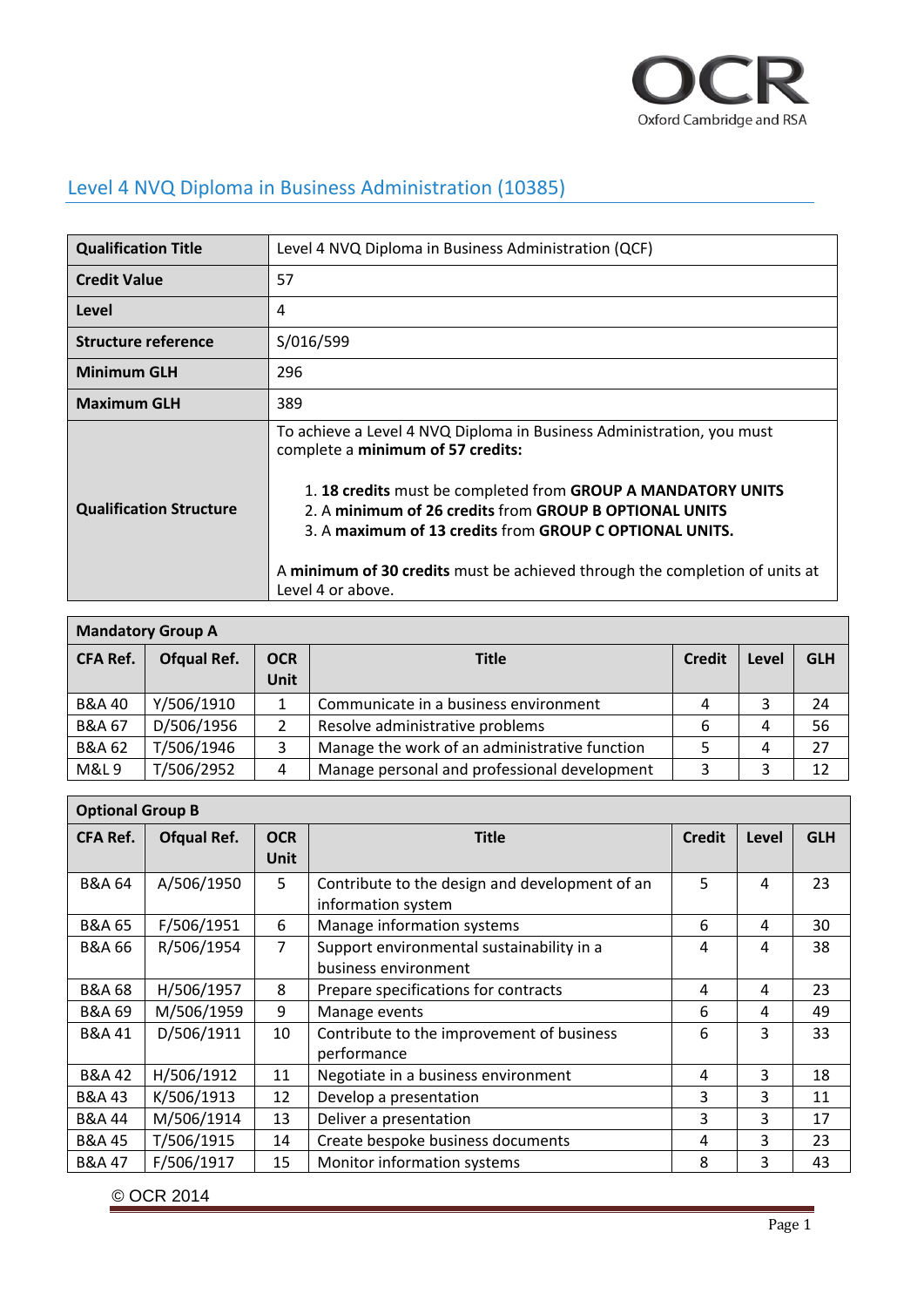

## Level 4 NVQ Diploma in Business Administration (10385)

| <b>Qualification Title</b>                                                                                                                                                                                                                                                                                                                                                                                                            | Level 4 NVQ Diploma in Business Administration (QCF) |  |  |  |
|---------------------------------------------------------------------------------------------------------------------------------------------------------------------------------------------------------------------------------------------------------------------------------------------------------------------------------------------------------------------------------------------------------------------------------------|------------------------------------------------------|--|--|--|
| <b>Credit Value</b>                                                                                                                                                                                                                                                                                                                                                                                                                   | 57                                                   |  |  |  |
| Level                                                                                                                                                                                                                                                                                                                                                                                                                                 | 4                                                    |  |  |  |
| <b>Structure reference</b>                                                                                                                                                                                                                                                                                                                                                                                                            | S/016/599                                            |  |  |  |
| <b>Minimum GLH</b>                                                                                                                                                                                                                                                                                                                                                                                                                    | 296                                                  |  |  |  |
| <b>Maximum GLH</b>                                                                                                                                                                                                                                                                                                                                                                                                                    | 389                                                  |  |  |  |
| To achieve a Level 4 NVQ Diploma in Business Administration, you must<br>complete a minimum of 57 credits:<br>1. 18 credits must be completed from GROUP A MANDATORY UNITS<br><b>Qualification Structure</b><br>2. A minimum of 26 credits from GROUP B OPTIONAL UNITS<br>3. A maximum of 13 credits from GROUP C OPTIONAL UNITS.<br>A minimum of 30 credits must be achieved through the completion of units at<br>Level 4 or above. |                                                      |  |  |  |

| <b>Mandatory Group A</b> |                    |                    |                                                    |  |    |            |
|--------------------------|--------------------|--------------------|----------------------------------------------------|--|----|------------|
| <b>CFA Ref.</b>          | <b>Ofqual Ref.</b> | <b>OCR</b><br>Unit | <b>Title</b><br><b>Credit</b><br>Level             |  |    | <b>GLH</b> |
| <b>B&amp;A 40</b>        | Y/506/1910         | 1                  | Communicate in a business environment              |  | 3  | 24         |
| <b>B&amp;A 67</b>        | D/506/1956         | 2                  | Resolve administrative problems<br>6<br>4          |  | 56 |            |
| <b>B&amp;A 62</b>        | T/506/1946         | 3                  | Manage the work of an administrative function<br>4 |  | 27 |            |
| <b>M&amp;L9</b>          | T/506/2952         | 4                  | Manage personal and professional development       |  |    | 12         |

| <b>Optional Group B</b> |             |                    |                                                                      |               |       |            |
|-------------------------|-------------|--------------------|----------------------------------------------------------------------|---------------|-------|------------|
| <b>CFA Ref.</b>         | Ofqual Ref. | <b>OCR</b><br>Unit | <b>Title</b>                                                         | <b>Credit</b> | Level | <b>GLH</b> |
| <b>B&amp;A 64</b>       | A/506/1950  | 5                  | Contribute to the design and development of an<br>information system | 5             | 4     | 23         |
| <b>B&amp;A 65</b>       | F/506/1951  | 6                  | Manage information systems                                           | 6             | 4     | 30         |
| <b>B&amp;A 66</b>       | R/506/1954  | $\overline{7}$     | Support environmental sustainability in a<br>business environment    | 4             | 4     | 38         |
| <b>B&amp;A 68</b>       | H/506/1957  | 8                  | Prepare specifications for contracts                                 | 4             | 4     | 23         |
| <b>B&amp;A 69</b>       | M/506/1959  | 9                  | Manage events                                                        | 6             | 4     | 49         |
| <b>B&amp;A 41</b>       | D/506/1911  | 10                 | 3<br>6<br>Contribute to the improvement of business<br>performance   |               | 33    |            |
| <b>B&amp;A 42</b>       | H/506/1912  | 11                 | Negotiate in a business environment                                  | 4             | 3     | 18         |
| <b>B&amp;A 43</b>       | K/506/1913  | 12                 | Develop a presentation                                               | 3             | 3     | 11         |
| <b>B&amp;A 44</b>       | M/506/1914  | 13                 | Deliver a presentation                                               | 3             | 3     | 17         |
| <b>B&amp;A 45</b>       | T/506/1915  | 14                 | Create bespoke business documents                                    | 4             | 3     | 23         |
| <b>B&amp;A 47</b>       | F/506/1917  | 15                 | Monitor information systems                                          | 8             | 3     | 43         |

© OCR 2014